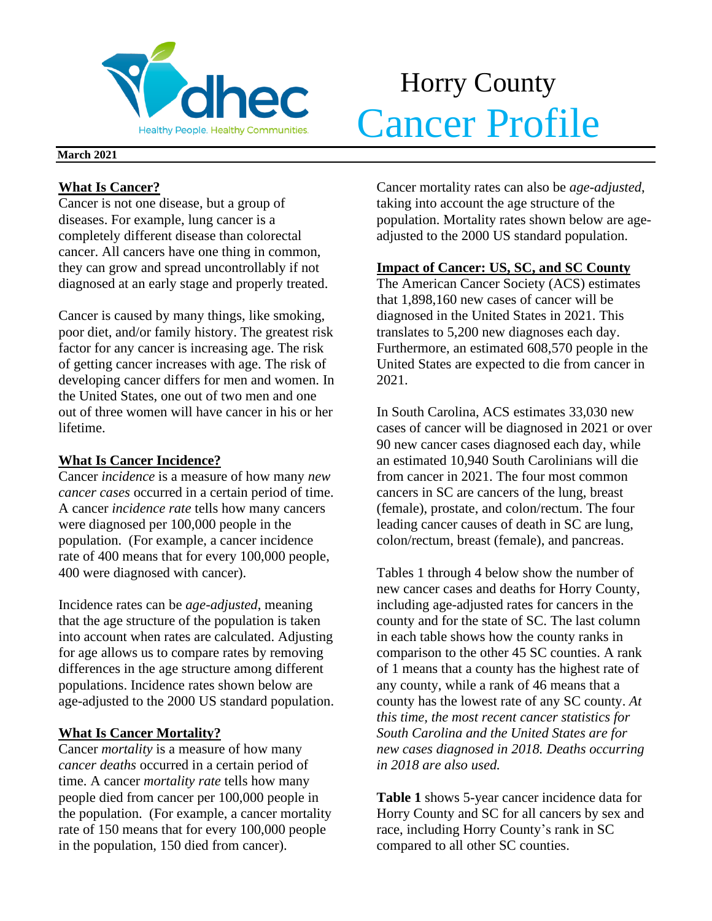

# Horry County **Cancer Profile**

#### **March 2021**

# **What Is Cancer?**

Cancer is not one disease, but a group of diseases. For example, lung cancer is a completely different disease than colorectal cancer. All cancers have one thing in common, they can grow and spread uncontrollably if not diagnosed at an early stage and properly treated.

Cancer is caused by many things, like smoking, poor diet, and/or family history. The greatest risk factor for any cancer is increasing age. The risk of getting cancer increases with age. The risk of developing cancer differs for men and women. In the United States, one out of two men and one out of three women will have cancer in his or her lifetime.

# **What Is Cancer Incidence?**

Cancer *incidence* is a measure of how many *new cancer cases* occurred in a certain period of time. A cancer *incidence rate* tells how many cancers were diagnosed per 100,000 people in the population. (For example, a cancer incidence rate of 400 means that for every 100,000 people, 400 were diagnosed with cancer).

Incidence rates can be *age-adjusted*, meaning that the age structure of the population is taken into account when rates are calculated. Adjusting for age allows us to compare rates by removing differences in the age structure among different populations. Incidence rates shown below are age-adjusted to the 2000 US standard population.

# **What Is Cancer Mortality?**

Cancer *mortality* is a measure of how many *cancer deaths* occurred in a certain period of time. A cancer *mortality rate* tells how many people died from cancer per 100,000 people in the population. (For example, a cancer mortality rate of 150 means that for every 100,000 people in the population, 150 died from cancer).

Cancer mortality rates can also be *age-adjusted*, taking into account the age structure of the population. Mortality rates shown below are ageadjusted to the 2000 US standard population.

# **Impact of Cancer: US, SC, and SC County**

The American Cancer Society (ACS) estimates that 1,898,160 new cases of cancer will be diagnosed in the United States in 2021. This translates to 5,200 new diagnoses each day. Furthermore, an estimated 608,570 people in the United States are expected to die from cancer in 2021.

In South Carolina, ACS estimates 33,030 new cases of cancer will be diagnosed in 2021 or over 90 new cancer cases diagnosed each day, while an estimated 10,940 South Carolinians will die from cancer in 2021. The four most common cancers in SC are cancers of the lung, breast (female), prostate, and colon/rectum. The four leading cancer causes of death in SC are lung, colon/rectum, breast (female), and pancreas.

Tables 1 through 4 below show the number of new cancer cases and deaths for Horry County, including age-adjusted rates for cancers in the county and for the state of SC. The last column in each table shows how the county ranks in comparison to the other 45 SC counties. A rank of 1 means that a county has the highest rate of any county, while a rank of 46 means that a county has the lowest rate of any SC county. *At this time, the most recent cancer statistics for South Carolina and the United States are for new cases diagnosed in 2018. Deaths occurring in 2018 are also used.*

**Table 1** shows 5-year cancer incidence data for Horry County and SC for all cancers by sex and race, including Horry County's rank in SC compared to all other SC counties.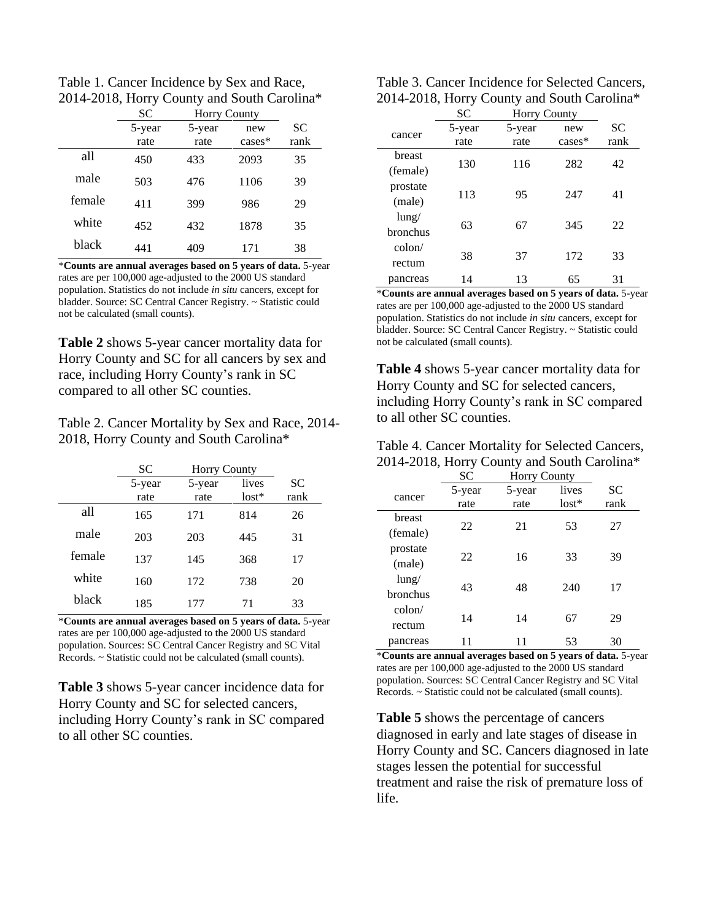Table 1. Cancer Incidence by Sex and Race, 2014-2018, Horry County and South Carolina\*

|        | <b>SC</b> | <b>Horry County</b> |           |           |
|--------|-----------|---------------------|-----------|-----------|
|        | 5-year    | 5-year              | new       | <b>SC</b> |
|        | rate      | rate                | $cases^*$ | rank      |
| all    | 450       | 433                 | 2093      | 35        |
| male   | 503       | 476                 | 1106      | 39        |
| female | 411       | 399                 | 986       | 29        |
| white  | 452       | 432                 | 1878      | 35        |
| black  | 441       | 409                 | 171       | 38        |

\***Counts are annual averages based on 5 years of data.** 5-year rates are per 100,000 age-adjusted to the 2000 US standard population. Statistics do not include *in situ* cancers, except for bladder. Source: SC Central Cancer Registry. ~ Statistic could not be calculated (small counts).

**Table 2** shows 5-year cancer mortality data for Horry County and SC for all cancers by sex and race, including Horry County's rank in SC compared to all other SC counties.

Table 2. Cancer Mortality by Sex and Race, 2014- 2018, Horry County and South Carolina\*

|        | SС             | <b>Horry County</b> |                  |                   |
|--------|----------------|---------------------|------------------|-------------------|
|        | 5-year<br>rate | 5-year<br>rate      | lives<br>$lost*$ | <b>SC</b><br>rank |
| all    | 165            | 171                 | 814              | 26                |
| male   | 203            | 203                 | 445              | 31                |
| female | 137            | 145                 | 368              | 17                |
| white  | 160            | 172                 | 738              | 20                |
| black  | 185            | 177                 | 71               | 33                |

\***Counts are annual averages based on 5 years of data.** 5-year rates are per 100,000 age-adjusted to the 2000 US standard population. Sources: SC Central Cancer Registry and SC Vital Records. ~ Statistic could not be calculated (small counts).

**Table 3** shows 5-year cancer incidence data for Horry County and SC for selected cancers, including Horry County's rank in SC compared to all other SC counties.

| Table 3. Cancer Incidence for Selected Cancers, |
|-------------------------------------------------|
| 2014-2018, Horry County and South Carolina*     |

|          | <b>SC</b> | <b>Horry County</b> |          |      |  |
|----------|-----------|---------------------|----------|------|--|
| cancer   | 5-year    | 5-year              | new      | SС   |  |
|          | rate      | rate                | $cases*$ | rank |  |
| breast   | 130       | 116                 | 282      | 42   |  |
| (female) |           |                     |          |      |  |
| prostate | 113       | 95                  | 247      | 41   |  |
| (male)   |           |                     |          |      |  |
| $l$ ung/ | 63        | 67                  | 345      | 22   |  |
| bronchus |           |                     |          |      |  |
| colon/   |           |                     |          |      |  |
| rectum   | 38        | 37                  | 172      | 33   |  |
| pancreas | 14        | 13                  | 65       | 31   |  |

\***Counts are annual averages based on 5 years of data.** 5-year rates are per 100,000 age-adjusted to the 2000 US standard population. Statistics do not include *in situ* cancers, except for bladder. Source: SC Central Cancer Registry. ~ Statistic could not be calculated (small counts).

**Table 4** shows 5-year cancer mortality data for Horry County and SC for selected cancers, including Horry County's rank in SC compared to all other SC counties.

| Table 4. Cancer Mortality for Selected Cancers, |
|-------------------------------------------------|
| 2014-2018, Horry County and South Carolina*     |

|                 | SC     | <b>Horry County</b> |         |      |
|-----------------|--------|---------------------|---------|------|
| cancer          | 5-year | 5-year              | lives   | SC   |
|                 | rate   | rate                | $lost*$ | rank |
| breast          |        |                     |         |      |
| (female)        | 22     | 21                  | 53      | 27   |
| prostate        |        |                     |         |      |
| (male)          | 22     | 16                  | 33      | 39   |
| $l$ ung/        |        |                     |         |      |
| <b>bronchus</b> | 43     | 48                  | 240     | 17   |
| $\text{colon}/$ |        |                     |         |      |
| rectum          | 14     | 14                  | 67      | 29   |
| pancreas        |        |                     | 53      | 30   |

\***Counts are annual averages based on 5 years of data.** 5-year rates are per 100,000 age-adjusted to the 2000 US standard population. Sources: SC Central Cancer Registry and SC Vital Records. ~ Statistic could not be calculated (small counts).

**Table 5** shows the percentage of cancers diagnosed in early and late stages of disease in Horry County and SC. Cancers diagnosed in late stages lessen the potential for successful treatment and raise the risk of premature loss of life.